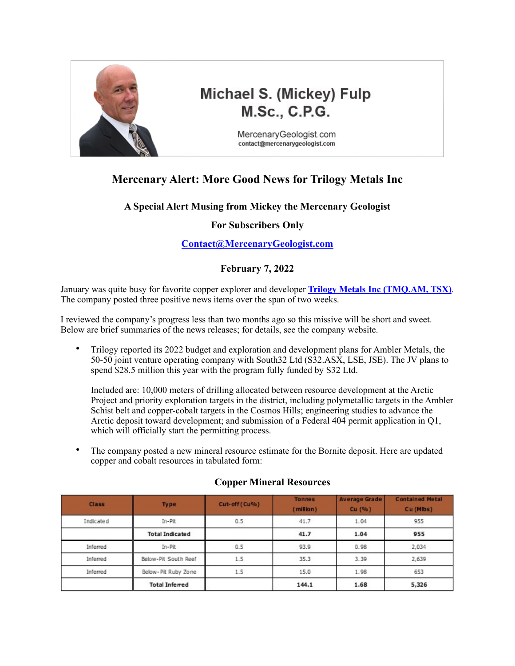

# **Michael S. (Mickey) Fulp M.Sc., C.P.G.**

MercenaryGeologist.com contact@mercenarygeologist.com

# **Mercenary Alert: More Good News for Trilogy Metals Inc**

## **A Special Alert Musing from Mickey the Mercenary Geologist**

#### **For Subscribers Only**

#### **[Contact@MercenaryGeologist.com](mailto:Contact@MercenaryGeologist.com)**

### **February 7, 2022**

January was quite busy for favorite copper explorer and developer **[Trilogy Metals Inc \(TMQ.AM, TSX\)](https://trilogymetals.com/)**. The company posted three positive news items over the span of two weeks.

I reviewed the company's progress less than two months ago so this missive will be short and sweet. Below are brief summaries of the news releases; for details, see the company website.

• Trilogy reported its 2022 budget and exploration and development plans for Ambler Metals, the 50-50 joint venture operating company with South32 Ltd (S32.ASX, LSE, JSE). The JV plans to spend \$28.5 million this year with the program fully funded by S32 Ltd.

Included are: 10,000 meters of drilling allocated between resource development at the Arctic Project and priority exploration targets in the district, including polymetallic targets in the Ambler Schist belt and copper-cobalt targets in the Cosmos Hills; engineering studies to advance the Arctic deposit toward development; and submission of a Federal 404 permit application in Q1, which will officially start the permitting process.

• The company posted a new mineral resource estimate for the Bornite deposit. Here are updated copper and cobalt resources in tabulated form:

| <b>Class</b> | Type                   | Cut-off (Cu%) | <b>Tonnes</b><br>(million) | <b>Average Grade</b><br>Cu (%) | <b>Contained Metal</b><br>Cu (Mlbs) |
|--------------|------------------------|---------------|----------------------------|--------------------------------|-------------------------------------|
| Indicate d   | In-Pit                 | 0.5           | 41.7                       | 1.04                           | 955                                 |
|              | <b>Total Indicated</b> |               | 41.7                       | 1.04                           | 955                                 |
| Inferred     | In-Pit                 | 0.5           | 93.9                       | 0.98                           | 2,034                               |
| Inferred     | Below-Pit South Reef   | 1.5           | 35.3                       | 3.39                           | 2,639                               |
| Inferred     | Below-Pit Ruby Zone    | 1.5           | 15.0                       | 1.98                           | 653                                 |
|              | <b>Total Inferred</b>  |               | 144.1                      | 1.68                           | 5,326                               |

### **Copper Mineral Resources**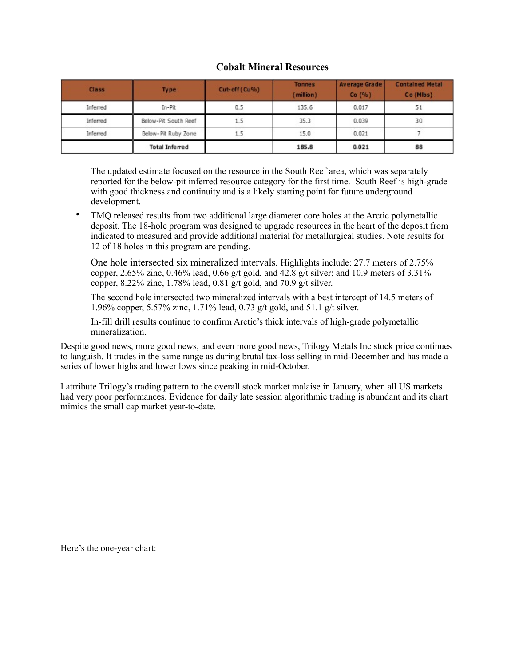#### **Cobalt Mineral Resources**

| <b>Class</b> | Type                  | Cut-off (Cu%) | <b>Tonnes</b><br>(million) | <b>Average Grade</b><br>Co(%) | <b>Contained Metal</b><br>Co (Mlbs) |
|--------------|-----------------------|---------------|----------------------------|-------------------------------|-------------------------------------|
| Inferred     | In-Pit                | 0.5           | 135.6                      | 0.017                         | 51                                  |
| Inferred     | Below-Pit South Reef  | 1.5           | 35.3                       | 0.039                         | 30                                  |
| Inferred     | Below-Pit Ruby Zone   | 1.5           | 15.0                       | 0.021                         |                                     |
|              | <b>Total Inferred</b> |               | 185.8                      | 0.021                         | 88                                  |

The updated estimate focused on the resource in the South Reef area, which was separately reported for the below-pit inferred resource category for the first time. South Reef is high-grade with good thickness and continuity and is a likely starting point for future underground development.

• TMQ released results from two additional large diameter core holes at the Arctic polymetallic deposit. The 18-hole program was designed to upgrade resources in the heart of the deposit from indicated to measured and provide additional material for metallurgical studies. Note results for 12 of 18 holes in this program are pending.

One hole intersected six mineralized intervals. Highlights include: 27.7 meters of 2.75% copper, 2.65% zinc, 0.46% lead, 0.66 g/t gold, and 42.8 g/t silver; and 10.9 meters of 3.31% copper,  $8.22\%$  zinc,  $1.78\%$  lead,  $0.81$  g/t gold, and  $70.9$  g/t silver.

The second hole intersected two mineralized intervals with a best intercept of 14.5 meters of 1.96% copper, 5.57% zinc, 1.71% lead, 0.73 g/t gold, and 51.1 g/t silver.

In-fill drill results continue to confirm Arctic's thick intervals of high-grade polymetallic mineralization.

Despite good news, more good news, and even more good news, Trilogy Metals Inc stock price continues to languish. It trades in the same range as during brutal tax-loss selling in mid-December and has made a series of lower highs and lower lows since peaking in mid-October.

I attribute Trilogy's trading pattern to the overall stock market malaise in January, when all US markets had very poor performances. Evidence for daily late session algorithmic trading is abundant and its chart mimics the small cap market year-to-date.

Here's the one-year chart: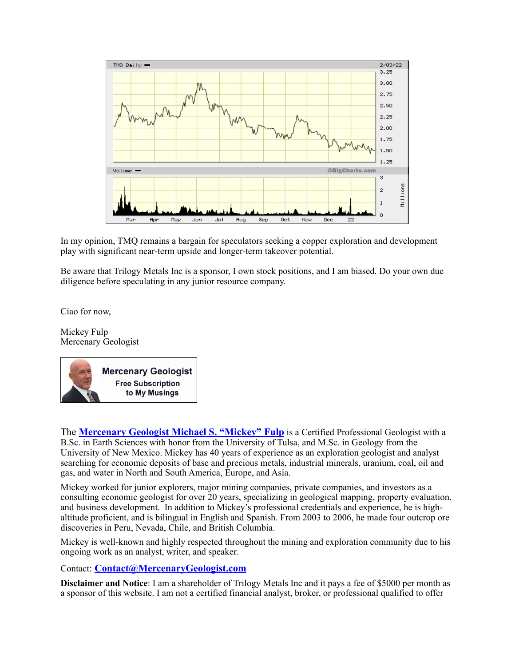

In my opinion, TMQ remains a bargain for speculators seeking a copper exploration and development play with significant near-term upside and longer-term takeover potential.

Be aware that Trilogy Metals Inc is a sponsor, I own stock positions, and I am biased. Do your own due diligence before speculating in any junior resource company.

Ciao for now,

Mickey Fulp Mercenary Geologist



The **[Mercenary Geologist Michael S. "Mickey" Fulp](http://www.mercenarygeologist.com/)** is a Certified Professional [Geologist](http://www.miningcompanyreport.com/index.htm) with a B.Sc. in Earth Sciences with honor from the University of Tulsa, and M.Sc. in Geology from the University of New Mexico. Mickey has 40 years of experience as an exploration geologist and analyst searching for economic deposits of base and precious metals, industrial minerals, uranium, coal, oil and gas, and water in North and South America, Europe, and Asia.

Mickey worked for junior explorers, major mining companies, private companies, and investors as a consulting economic geologist for over 20 years, specializing in geological mapping, property evaluation, and business development. In addition to Mickey's professional credentials and experience, he is highaltitude proficient, and is bilingual in English and Spanish. From 2003 to 2006, he made four outcrop ore discoveries in Peru, Nevada, Chile, and British Columbia.

Mickey is well-known and highly respected throughout the mining and exploration community due to his ongoing work as an analyst, writer, and speaker.

#### Contact: **[Contact@MercenaryGeologist.com](mailto:Contact@MercenaryGeologist.com)**

**Disclaimer and Notice**: I am a shareholder of Trilogy Metals Inc and it pays a fee of \$5000 per month as a sponsor of this website. I am not a certified financial analyst, broker, or professional qualified to offer